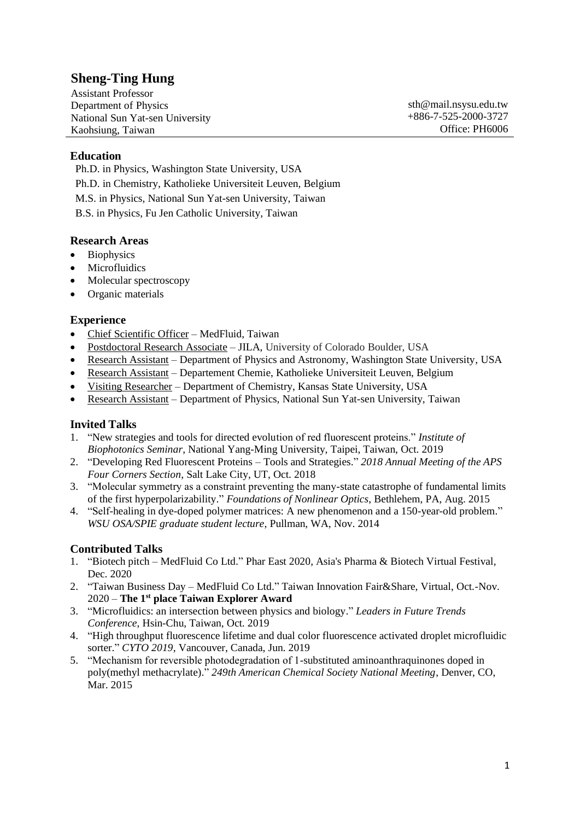# **Sheng-Ting Hung**

Assistant Professor Department of Physics National Sun Yat-sen University Kaohsiung, Taiwan

sth@mail.nsysu.edu.tw +886-7-525-2000-3727 Office: PH6006

#### **Education**

Ph.D. in Physics, Washington State University, USA Ph.D. in Chemistry, Katholieke Universiteit Leuven, Belgium M.S. in Physics, National Sun Yat-sen University, Taiwan B.S. in Physics, Fu Jen Catholic University, Taiwan

#### **Research Areas**

- Biophysics
- Microfluidics
- Molecular spectroscopy
- Organic materials

#### **Experience**

- Chief Scientific Officer MedFluid, Taiwan
- Postdoctoral Research Associate JILA, University of Colorado Boulder, USA
- Research Assistant Department of Physics and Astronomy, Washington State University, USA
- Research Assistant Departement Chemie, Katholieke Universiteit Leuven, Belgium
- Visiting Researcher Department of Chemistry, Kansas State University, USA
- Research Assistant Department of Physics, National Sun Yat-sen University, Taiwan

#### **Invited Talks**

- 1. "New strategies and tools for directed evolution of red fluorescent proteins." *Institute of Biophotonics Seminar*, National Yang-Ming University, Taipei, Taiwan, Oct. 2019
- 2. "Developing Red Fluorescent Proteins Tools and Strategies." *2018 Annual Meeting of the APS Four Corners Section*, Salt Lake City, UT, Oct. 2018
- 3. "Molecular symmetry as a constraint preventing the many-state catastrophe of fundamental limits of the first hyperpolarizability." *Foundations of Nonlinear Optics*, Bethlehem, PA, Aug. 2015
- 4. "Self-healing in dye-doped polymer matrices: A new phenomenon and a 150-year-old problem." *WSU OSA/SPIE graduate student lecture*, Pullman, WA, Nov. 2014

#### **Contributed Talks**

- 1. "Biotech pitch MedFluid Co Ltd." Phar East 2020, Asia's Pharma & Biotech Virtual Festival, Dec. 2020
- 2. "Taiwan Business Day MedFluid Co Ltd." Taiwan Innovation Fair&Share, Virtual, Oct.-Nov. 2020 – **The 1st place Taiwan Explorer Award**
- 3. "Microfluidics: an intersection between physics and biology." *Leaders in Future Trends Conference*, Hsin-Chu, Taiwan, Oct. 2019
- 4. "High throughput fluorescence lifetime and dual color fluorescence activated droplet microfluidic sorter." *CYTO 2019*, Vancouver, Canada, Jun. 2019
- 5. "Mechanism for reversible photodegradation of 1-substituted aminoanthraquinones doped in poly(methyl methacrylate)." *249th American Chemical Society National Meeting*, Denver, CO, Mar. 2015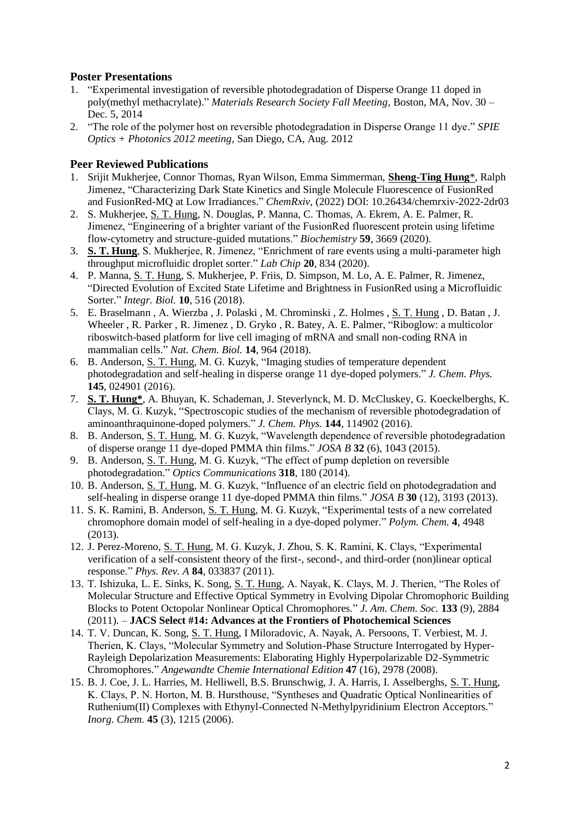#### **Poster Presentations**

- 1. "Experimental investigation of reversible photodegradation of Disperse Orange 11 doped in poly(methyl methacrylate)." *Materials Research Society Fall Meeting*, Boston, MA, Nov. 30 – Dec. 5, 2014
- 2. "The role of the polymer host on reversible photodegradation in Disperse Orange 11 dye." *SPIE Optics + Photonics 2012 meeting*, San Diego, CA, Aug. 2012

### **Peer Reviewed Publications**

- 1. Srijit Mukherjee, Connor Thomas, Ryan Wilson, Emma Simmerman, **Sheng-Ting Hung**\*, Ralph Jimenez, "Characterizing Dark State Kinetics and Single Molecule Fluorescence of FusionRed and FusionRed-MQ at Low Irradiances." *ChemRxiv*, (2022) DOI: 10.26434/chemrxiv-2022-2dr03
- 2. S. Mukherjee, S. T. Hung, N. Douglas, P. Manna, C. Thomas, A. Ekrem, A. E. Palmer, R. Jimenez, "Engineering of a brighter variant of the FusionRed fluorescent protein using lifetime flow-cytometry and structure-guided mutations." *Biochemistry* **59**, 3669 (2020).
- 3. **S. T. Hung**, S. Mukherjee, R. Jimenez, "Enrichment of rare events using a multi-parameter high throughput microfluidic droplet sorter." *Lab Chip* **20**, 834 (2020).
- 4. P. Manna, S. T. Hung, S. Mukherjee, P. Friis, D. Simpson, M. Lo, A. E. Palmer, R. Jimenez, "Directed Evolution of Excited State Lifetime and Brightness in FusionRed using a Microfluidic Sorter." *Integr. Biol.* **10**, 516 (2018).
- 5. E. Braselmann , A. Wierzba , J. Polaski , M. Chrominski , Z. Holmes , S. T. Hung , D. Batan , J. Wheeler , R. Parker , R. Jimenez , D. Gryko , R. Batey, A. E. Palmer, "Riboglow: a multicolor riboswitch-based platform for live cell imaging of mRNA and small non-coding RNA in mammalian cells." *Nat. Chem. Biol.* **14**, 964 (2018).
- 6. B. Anderson, S. T. Hung, M. G. Kuzyk, "Imaging studies of temperature dependent photodegradation and self-healing in disperse orange 11 dye-doped polymers." *J. Chem. Phys.* **145**, 024901 (2016).
- 7. **S. T. Hung\***, A. Bhuyan, K. Schademan, J. Steverlynck, M. D. McCluskey, G. Koeckelberghs, K. Clays, M. G. Kuzyk, "Spectroscopic studies of the mechanism of reversible photodegradation of aminoanthraquinone-doped polymers." *J. Chem. Phys.* **144**, 114902 (2016).
- 8. B. Anderson, S. T. Hung, M. G. Kuzyk, "Wavelength dependence of reversible photodegradation of disperse orange 11 dye-doped PMMA thin films." *JOSA B* **32** (6), 1043 (2015).
- 9. B. Anderson, S. T. Hung, M. G. Kuzyk, "The effect of pump depletion on reversible photodegradation." *Optics Communications* **318**, 180 (2014).
- 10. B. Anderson, S. T. Hung, M. G. Kuzyk, "Influence of an electric field on photodegradation and self-healing in disperse orange 11 dye-doped PMMA thin films." *JOSA B* **30** (12), 3193 (2013).
- 11. S. K. Ramini, B. Anderson, S. T. Hung, M. G. Kuzyk, "Experimental tests of a new correlated chromophore domain model of self-healing in a dye-doped polymer." *Polym. Chem.* **4**, 4948 (2013).
- 12. J. Perez-Moreno, S. T. Hung, M. G. Kuzyk, J. Zhou, S. K. Ramini, K. Clays, "Experimental verification of a self-consistent theory of the first-, second-, and third-order (non)linear optical response." *Phys. Rev. A* **84**, 033837 (2011).
- 13. T. Ishizuka, L. E. Sinks, K. Song, S. T. Hung, A. Nayak, K. Clays, M. J. Therien, "The Roles of Molecular Structure and Effective Optical Symmetry in Evolving Dipolar Chromophoric Building Blocks to Potent Octopolar Nonlinear Optical Chromophores." *J. Am. Chem. Soc.* **133** (9), 2884 (2011). – **JACS Select #14: Advances at the Frontiers of Photochemical Sciences**
- 14. T. V. Duncan, K. Song, S. T. Hung, I Miloradovic, A. Nayak, A. Persoons, T. Verbiest, M. J. Therien, K. Clays, "Molecular Symmetry and Solution-Phase Structure Interrogated by Hyper-Rayleigh Depolarization Measurements: Elaborating Highly Hyperpolarizable D2-Symmetric Chromophores." *Angewandte Chemie International Edition* **47** (16), 2978 (2008).
- 15. B. J. Coe, J. L. Harries, M. Helliwell, B.S. Brunschwig, J. A. Harris, I. Asselberghs, S. T. Hung, K. Clays, P. N. Horton, M. B. Hursthouse, "Syntheses and Quadratic Optical Nonlinearities of Ruthenium(II) Complexes with Ethynyl-Connected N-Methylpyridinium Electron Acceptors." *Inorg. Chem.* **45** (3), 1215 (2006).